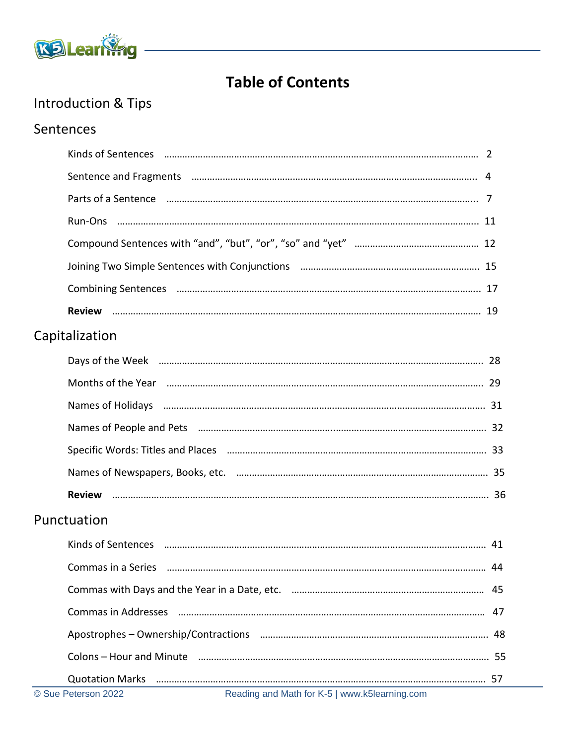

## **Table of Contents**

# Introduction & Tips

#### Sentences

|             | © Sue Peterson 2022<br>Reading and Math for K-5   www.k5learning.com                                                                                                                                                               |    |
|-------------|------------------------------------------------------------------------------------------------------------------------------------------------------------------------------------------------------------------------------------|----|
|             | <b>Quotation Marks</b>                                                                                                                                                                                                             |    |
|             |                                                                                                                                                                                                                                    |    |
|             |                                                                                                                                                                                                                                    |    |
|             | Commas in Addresses manufacture and an anti-                                                                                                                                                                                       | 47 |
|             |                                                                                                                                                                                                                                    | 45 |
|             | Commas in a Series <b>manual communities</b> and a series are a series and a series and a series and a series and a series and a series and a series and a series and a series and a series and a series and a series and a series |    |
|             |                                                                                                                                                                                                                                    |    |
| Punctuation |                                                                                                                                                                                                                                    |    |
|             |                                                                                                                                                                                                                                    |    |
|             |                                                                                                                                                                                                                                    |    |
|             |                                                                                                                                                                                                                                    |    |
|             | Names of People and Pets (2000) 2000 million and the Manus and Tana and Tana and Tana and Tana and Tana and Ta                                                                                                                     |    |
|             | Names of Holidays manufactured and the control of Holidays manufactured and the control of Holidays manufactur                                                                                                                     |    |
|             |                                                                                                                                                                                                                                    |    |
|             |                                                                                                                                                                                                                                    |    |
|             | Capitalization                                                                                                                                                                                                                     |    |
|             |                                                                                                                                                                                                                                    |    |
|             |                                                                                                                                                                                                                                    |    |
|             |                                                                                                                                                                                                                                    |    |
|             |                                                                                                                                                                                                                                    |    |
|             |                                                                                                                                                                                                                                    |    |
|             |                                                                                                                                                                                                                                    |    |
|             |                                                                                                                                                                                                                                    |    |
|             | Sentence and Fragments (and according to the contract of the contract of the contract of the contract of the contract of the contract of the contract of the contract of the contract of the contract of the contract of the c     |    |
|             | Kinds of Sentences <b>www.communication.communication.communication</b> . 2                                                                                                                                                        |    |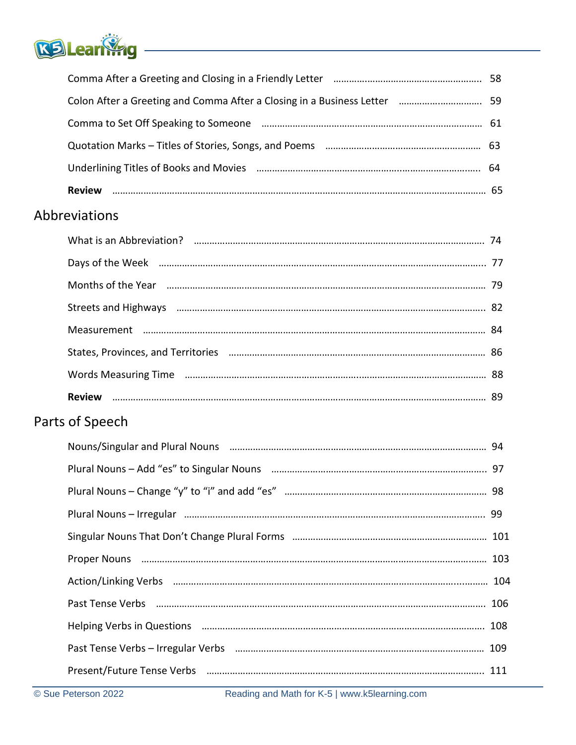

| Abbreviations                                                   |  |
|-----------------------------------------------------------------|--|
| What is an Abbreviation? manufactured and the control of the 74 |  |

| Streets and Highways manufacture and the material control and the state and Highways manufacture and the state of the state and the state and state and state and state and state and state and state and state and state and |  |
|-------------------------------------------------------------------------------------------------------------------------------------------------------------------------------------------------------------------------------|--|
| Months of the Year manufacture and the Year 79                                                                                                                                                                                |  |
|                                                                                                                                                                                                                               |  |
|                                                                                                                                                                                                                               |  |

### Parts of Speech